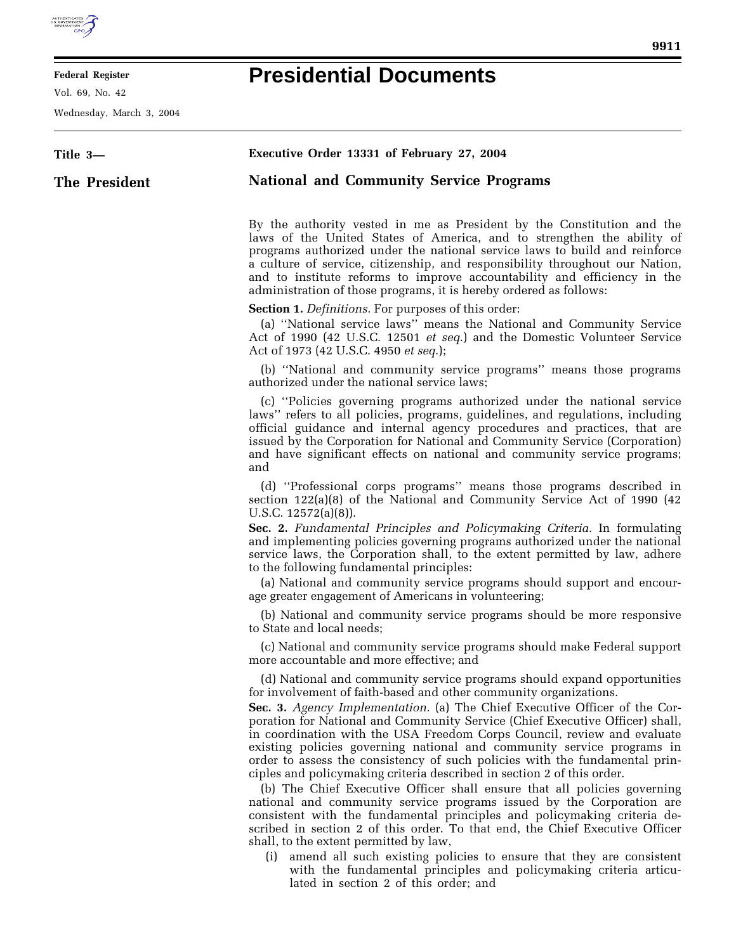

E

## **Federal Register**

Vol. 69, No. 42

Wednesday, March 3, 2004

۰

## **Presidential Documents**

| Title 3-      | Executive Order 13331 of February 27, 2004                                                                                                                                                                                                                                                                                                                                                                                                                               |
|---------------|--------------------------------------------------------------------------------------------------------------------------------------------------------------------------------------------------------------------------------------------------------------------------------------------------------------------------------------------------------------------------------------------------------------------------------------------------------------------------|
| The President | <b>National and Community Service Programs</b>                                                                                                                                                                                                                                                                                                                                                                                                                           |
|               | By the authority vested in me as President by the Constitution and the<br>laws of the United States of America, and to strengthen the ability of<br>programs authorized under the national service laws to build and reinforce<br>a culture of service, citizenship, and responsibility throughout our Nation,<br>and to institute reforms to improve accountability and efficiency in the<br>administration of those programs, it is hereby ordered as follows:         |
|               | <b>Section 1.</b> <i>Definitions</i> . For purposes of this order:<br>(a) "National service laws" means the National and Community Service<br>Act of 1990 (42 U.S.C. 12501 et seq.) and the Domestic Volunteer Service<br>Act of 1973 (42 U.S.C. 4950 et seq.);                                                                                                                                                                                                          |
|               | (b) "National and community service programs" means those programs<br>authorized under the national service laws;                                                                                                                                                                                                                                                                                                                                                        |
|               | (c) "Policies governing programs authorized under the national service<br>laws" refers to all policies, programs, guidelines, and regulations, including<br>official guidance and internal agency procedures and practices, that are<br>issued by the Corporation for National and Community Service (Corporation)<br>and have significant effects on national and community service programs;<br>and                                                                    |
|               | (d) "Professional corps programs" means those programs described in<br>section 122(a)(8) of the National and Community Service Act of 1990 (42<br>U.S.C. $12572(a)(8)$ ).                                                                                                                                                                                                                                                                                                |
|               | Sec. 2. Fundamental Principles and Policymaking Criteria. In formulating<br>and implementing policies governing programs authorized under the national<br>service laws, the Corporation shall, to the extent permitted by law, adhere<br>to the following fundamental principles:                                                                                                                                                                                        |
|               | (a) National and community service programs should support and encour-<br>age greater engagement of Americans in volunteering;                                                                                                                                                                                                                                                                                                                                           |
|               | (b) National and community service programs should be more responsive<br>to State and local needs;                                                                                                                                                                                                                                                                                                                                                                       |
|               | (c) National and community service programs should make Federal support<br>more accountable and more effective; and                                                                                                                                                                                                                                                                                                                                                      |
|               | (d) National and community service programs should expand opportunities<br>for involvement of faith-based and other community organizations.                                                                                                                                                                                                                                                                                                                             |
|               | Sec. 3. Agency Implementation. (a) The Chief Executive Officer of the Cor-<br>poration for National and Community Service (Chief Executive Officer) shall,<br>in coordination with the USA Freedom Corps Council, review and evaluate<br>existing policies governing national and community service programs in<br>order to assess the consistency of such policies with the fundamental prin-<br>ciples and policymaking criteria described in section 2 of this order. |
|               | (b) The Chief Executive Officer shall ensure that all policies governing<br>national and community service programs issued by the Corporation are<br>consistent with the fundamental principles and policymaking criteria de-<br>scribed in section 2 of this order. To that end, the Chief Executive Officer<br>shall, to the extent permitted by law,                                                                                                                  |
|               | amend all such existing policies to ensure that they are consistent<br>(i)<br>with the fundamental principles and policymaking criteria articu-<br>lated in section 2 of this order; and                                                                                                                                                                                                                                                                                 |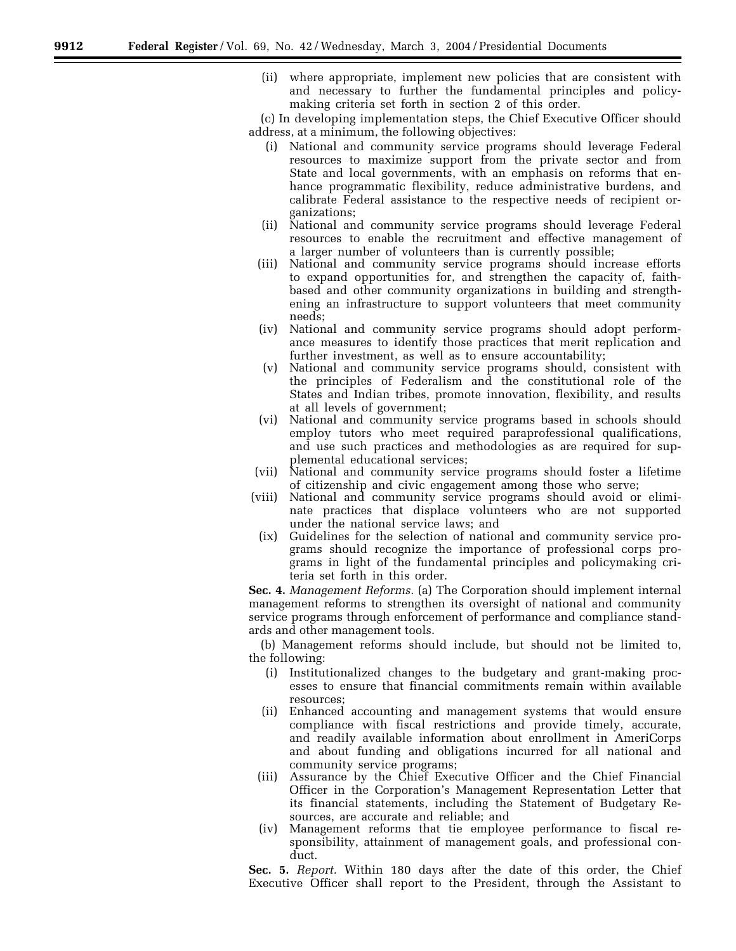(ii) where appropriate, implement new policies that are consistent with and necessary to further the fundamental principles and policymaking criteria set forth in section 2 of this order.

(c) In developing implementation steps, the Chief Executive Officer should address, at a minimum, the following objectives:

- (i) National and community service programs should leverage Federal resources to maximize support from the private sector and from State and local governments, with an emphasis on reforms that enhance programmatic flexibility, reduce administrative burdens, and calibrate Federal assistance to the respective needs of recipient organizations;
- (ii) National and community service programs should leverage Federal resources to enable the recruitment and effective management of a larger number of volunteers than is currently possible;
- (iii) National and community service programs should increase efforts to expand opportunities for, and strengthen the capacity of, faithbased and other community organizations in building and strengthening an infrastructure to support volunteers that meet community needs;
- (iv) National and community service programs should adopt performance measures to identify those practices that merit replication and further investment, as well as to ensure accountability;
- (v) National and community service programs should, consistent with the principles of Federalism and the constitutional role of the States and Indian tribes, promote innovation, flexibility, and results at all levels of government;
- (vi) National and community service programs based in schools should employ tutors who meet required paraprofessional qualifications, and use such practices and methodologies as are required for supplemental educational services;
- (vii) National and community service programs should foster a lifetime of citizenship and civic engagement among those who serve;
- (viii) National and community service programs should avoid or eliminate practices that displace volunteers who are not supported under the national service laws; and
- (ix) Guidelines for the selection of national and community service programs should recognize the importance of professional corps programs in light of the fundamental principles and policymaking criteria set forth in this order.

**Sec. 4.** *Management Reforms.* (a) The Corporation should implement internal management reforms to strengthen its oversight of national and community service programs through enforcement of performance and compliance standards and other management tools.

(b) Management reforms should include, but should not be limited to, the following:

- (i) Institutionalized changes to the budgetary and grant-making processes to ensure that financial commitments remain within available resources;
- (ii) Enhanced accounting and management systems that would ensure compliance with fiscal restrictions and provide timely, accurate, and readily available information about enrollment in AmeriCorps and about funding and obligations incurred for all national and community service programs;
- (iii) Assurance by the Chief Executive Officer and the Chief Financial Officer in the Corporation's Management Representation Letter that its financial statements, including the Statement of Budgetary Resources, are accurate and reliable; and
- (iv) Management reforms that tie employee performance to fiscal responsibility, attainment of management goals, and professional conduct.

**Sec. 5.** *Report.* Within 180 days after the date of this order, the Chief Executive Officer shall report to the President, through the Assistant to